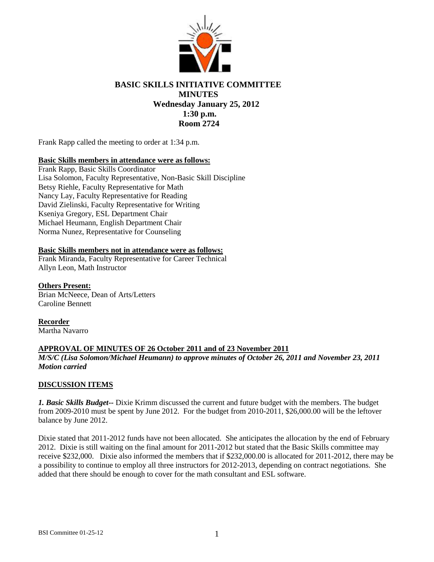

# **BASIC SKILLS INITIATIVE COMMITTEE MINUTES Wednesday January 25, 2012 1:30 p.m. Room 2724**

Frank Rapp called the meeting to order at 1:34 p.m.

## **Basic Skills members in attendance were as follows:**

Frank Rapp, Basic Skills Coordinator Lisa Solomon, Faculty Representative, Non-Basic Skill Discipline Betsy Riehle, Faculty Representative for Math Nancy Lay, Faculty Representative for Reading David Zielinski, Faculty Representative for Writing Kseniya Gregory, ESL Department Chair Michael Heumann, English Department Chair Norma Nunez, Representative for Counseling

## **Basic Skills members not in attendance were as follows:**

Frank Miranda, Faculty Representative for Career Technical Allyn Leon, Math Instructor

**Others Present:** Brian McNeece, Dean of Arts/Letters Caroline Bennett

**Recorder** Martha Navarro

## **APPROVAL OF MINUTES OF 26 October 2011 and of 23 November 2011**

*M/S/C (Lisa Solomon/Michael Heumann) to approve minutes of October 26, 2011 and November 23, 2011 Motion carried*

## **DISCUSSION ITEMS**

*1. Basic Skills Budget--* Dixie Krimm discussed the current and future budget with the members. The budget from 2009-2010 must be spent by June 2012. For the budget from 2010-2011, \$26,000.00 will be the leftover balance by June 2012.

Dixie stated that 2011-2012 funds have not been allocated. She anticipates the allocation by the end of February 2012. Dixie is still waiting on the final amount for 2011-2012 but stated that the Basic Skills committee may receive \$232,000. Dixie also informed the members that if \$232,000.00 is allocated for 2011-2012, there may be a possibility to continue to employ all three instructors for 2012-2013, depending on contract negotiations. She added that there should be enough to cover for the math consultant and ESL software.